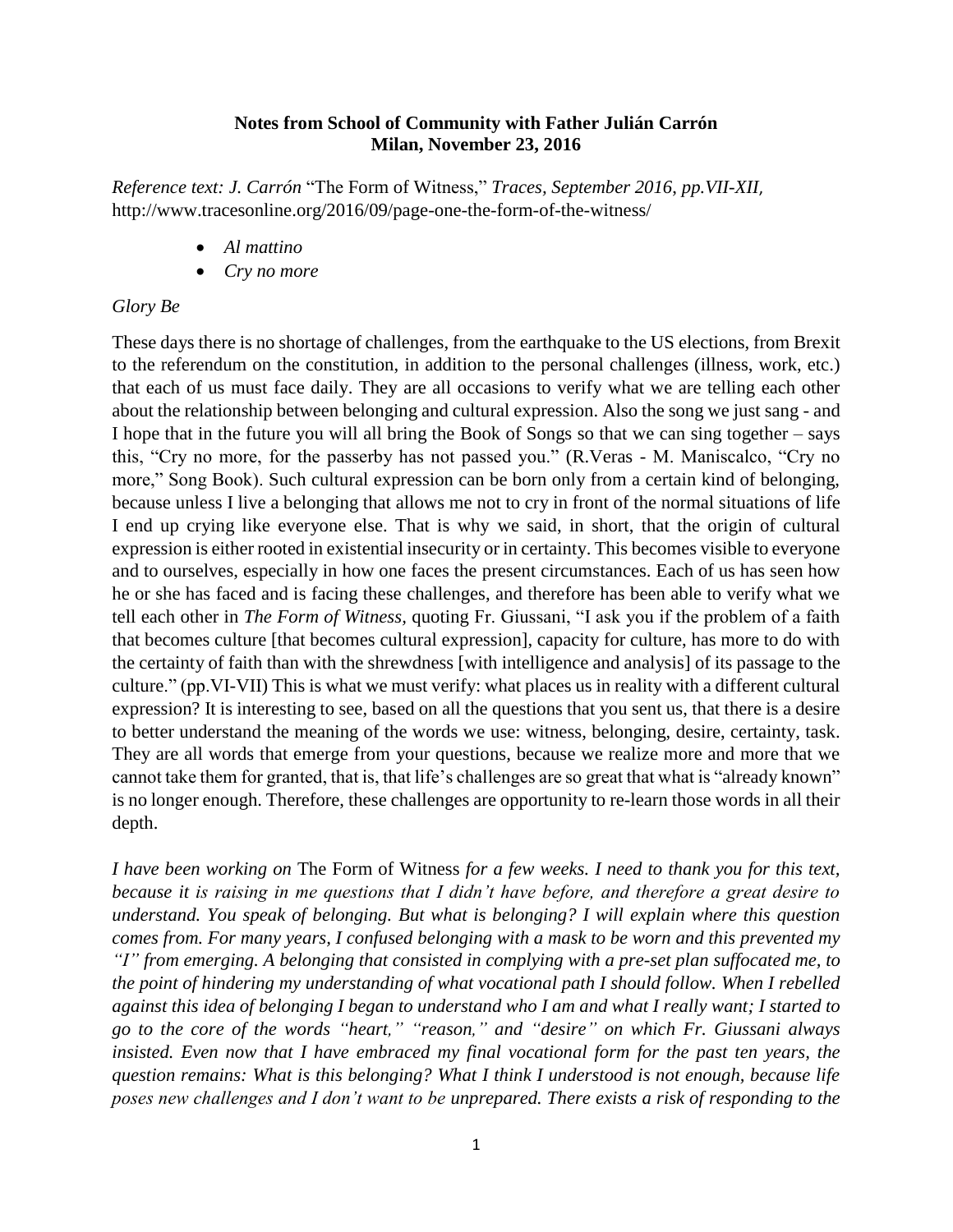### **Notes from School of Community with Father Julián Carrón Milan, November 23, 2016**

*Reference text: J. Carrón* "The Form of Witness," *Traces, September 2016*, *pp.VII-XII*, http://www.tracesonline.org/2016/09/page-one-the-form-of-the-witness/

- *Al mattino*
- *Cry no more*

#### *Glory Be*

These days there is no shortage of challenges, from the earthquake to the US elections, from Brexit to the referendum on the constitution, in addition to the personal challenges (illness, work, etc.) that each of us must face daily. They are all occasions to verify what we are telling each other about the relationship between belonging and cultural expression. Also the song we just sang - and I hope that in the future you will all bring the Book of Songs so that we can sing together – says this, "Cry no more, for the passerby has not passed you." (R.Veras - M. Maniscalco, "Cry no more," Song Book). Such cultural expression can be born only from a certain kind of belonging, because unless I live a belonging that allows me not to cry in front of the normal situations of life I end up crying like everyone else. That is why we said, in short, that the origin of cultural expression is either rooted in existential insecurity or in certainty. This becomes visible to everyone and to ourselves, especially in how one faces the present circumstances. Each of us has seen how he or she has faced and is facing these challenges, and therefore has been able to verify what we tell each other in *The Form of Witness,* quoting Fr. Giussani, "I ask you if the problem of a faith that becomes culture [that becomes cultural expression], capacity for culture, has more to do with the certainty of faith than with the shrewdness [with intelligence and analysis] of its passage to the culture." (pp.VI-VII) This is what we must verify: what places us in reality with a different cultural expression? It is interesting to see, based on all the questions that you sent us, that there is a desire to better understand the meaning of the words we use: witness, belonging, desire, certainty, task. They are all words that emerge from your questions, because we realize more and more that we cannot take them for granted, that is, that life's challenges are so great that what is "already known" is no longer enough. Therefore, these challenges are opportunity to re-learn those words in all their depth.

*I have been working on* The Form of Witness *for a few weeks. I need to thank you for this text, because it is raising in me questions that I didn't have before, and therefore a great desire to understand. You speak of belonging. But what is belonging? I will explain where this question comes from. For many years, I confused belonging with a mask to be worn and this prevented my "I" from emerging. A belonging that consisted in complying with a pre-set plan suffocated me, to the point of hindering my understanding of what vocational path I should follow. When I rebelled against this idea of belonging I began to understand who I am and what I really want; I started to go to the core of the words "heart," "reason," and "desire" on which Fr. Giussani always insisted. Even now that I have embraced my final vocational form for the past ten years, the question remains: What is this belonging? What I think I understood is not enough, because life poses new challenges and I don't want to be unprepared. There exists a risk of responding to the*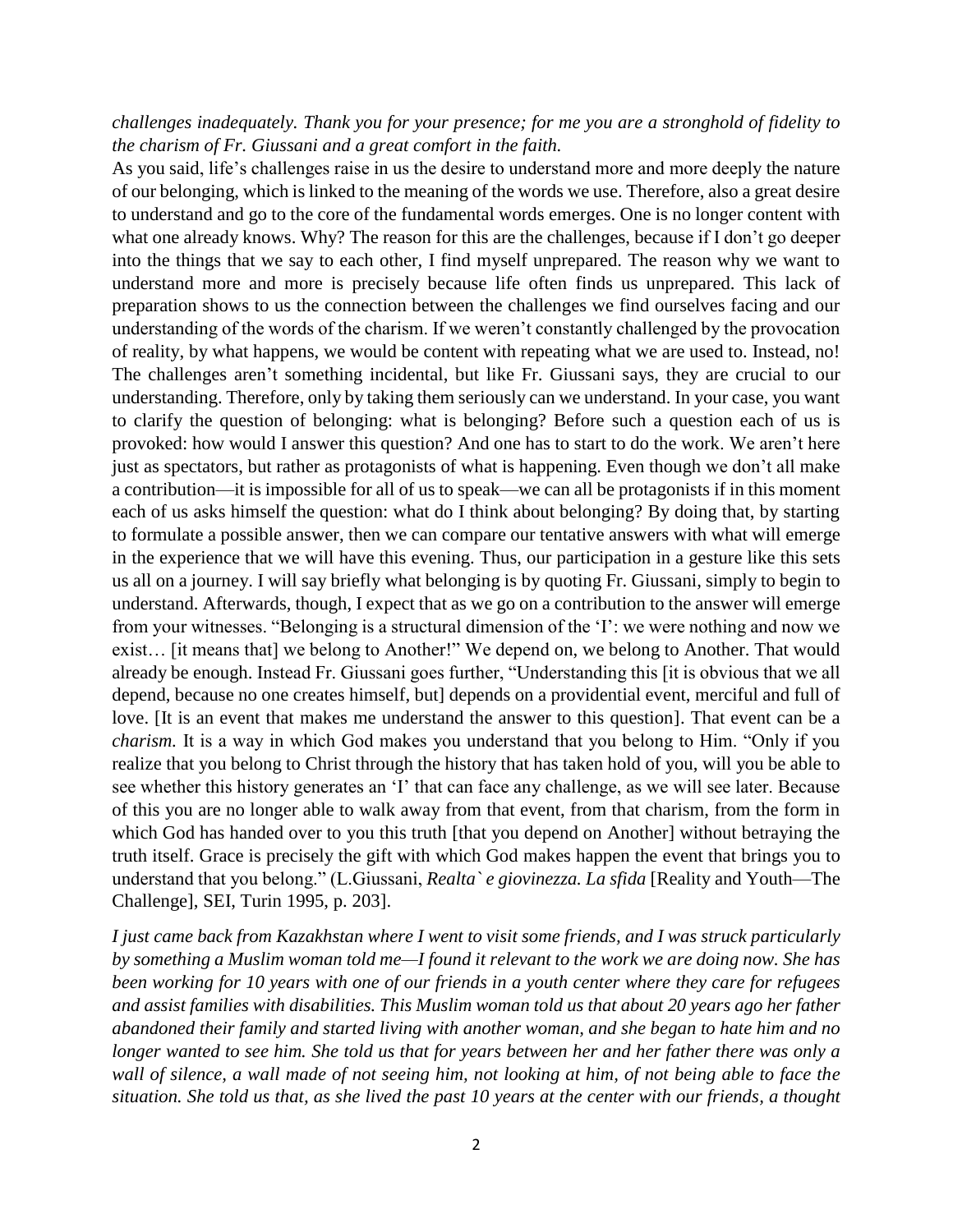# *challenges inadequately. Thank you for your presence; for me you are a stronghold of fidelity to the charism of Fr. Giussani and a great comfort in the faith.*

As you said, life's challenges raise in us the desire to understand more and more deeply the nature of our belonging, which is linked to the meaning of the words we use. Therefore, also a great desire to understand and go to the core of the fundamental words emerges. One is no longer content with what one already knows. Why? The reason for this are the challenges, because if I don't go deeper into the things that we say to each other, I find myself unprepared. The reason why we want to understand more and more is precisely because life often finds us unprepared. This lack of preparation shows to us the connection between the challenges we find ourselves facing and our understanding of the words of the charism. If we weren't constantly challenged by the provocation of reality, by what happens, we would be content with repeating what we are used to. Instead, no! The challenges aren't something incidental, but like Fr. Giussani says, they are crucial to our understanding. Therefore, only by taking them seriously can we understand. In your case, you want to clarify the question of belonging: what is belonging? Before such a question each of us is provoked: how would I answer this question? And one has to start to do the work. We aren't here just as spectators, but rather as protagonists of what is happening. Even though we don't all make a contribution—it is impossible for all of us to speak—we can all be protagonists if in this moment each of us asks himself the question: what do I think about belonging? By doing that, by starting to formulate a possible answer, then we can compare our tentative answers with what will emerge in the experience that we will have this evening. Thus, our participation in a gesture like this sets us all on a journey. I will say briefly what belonging is by quoting Fr. Giussani, simply to begin to understand. Afterwards, though, I expect that as we go on a contribution to the answer will emerge from your witnesses. "Belonging is a structural dimension of the 'I': we were nothing and now we exist… [it means that] we belong to Another!" We depend on, we belong to Another. That would already be enough. Instead Fr. Giussani goes further, "Understanding this [it is obvious that we all depend, because no one creates himself, but] depends on a providential event, merciful and full of love. [It is an event that makes me understand the answer to this question]. That event can be a *charism.* It is a way in which God makes you understand that you belong to Him. "Only if you realize that you belong to Christ through the history that has taken hold of you, will you be able to see whether this history generates an 'I' that can face any challenge, as we will see later. Because of this you are no longer able to walk away from that event, from that charism, from the form in which God has handed over to you this truth [that you depend on Another] without betraying the truth itself. Grace is precisely the gift with which God makes happen the event that brings you to understand that you belong." (L.Giussani, *Realta` e giovinezza. La sfida* [Reality and Youth—The Challenge], SEI, Turin 1995, p. 203].

*I just came back from Kazakhstan where I went to visit some friends, and I was struck particularly by something a Muslim woman told me—I found it relevant to the work we are doing now. She has been working for 10 years with one of our friends in a youth center where they care for refugees and assist families with disabilities. This Muslim woman told us that about 20 years ago her father abandoned their family and started living with another woman, and she began to hate him and no longer wanted to see him. She told us that for years between her and her father there was only a wall of silence, a wall made of not seeing him, not looking at him, of not being able to face the situation. She told us that, as she lived the past 10 years at the center with our friends, a thought*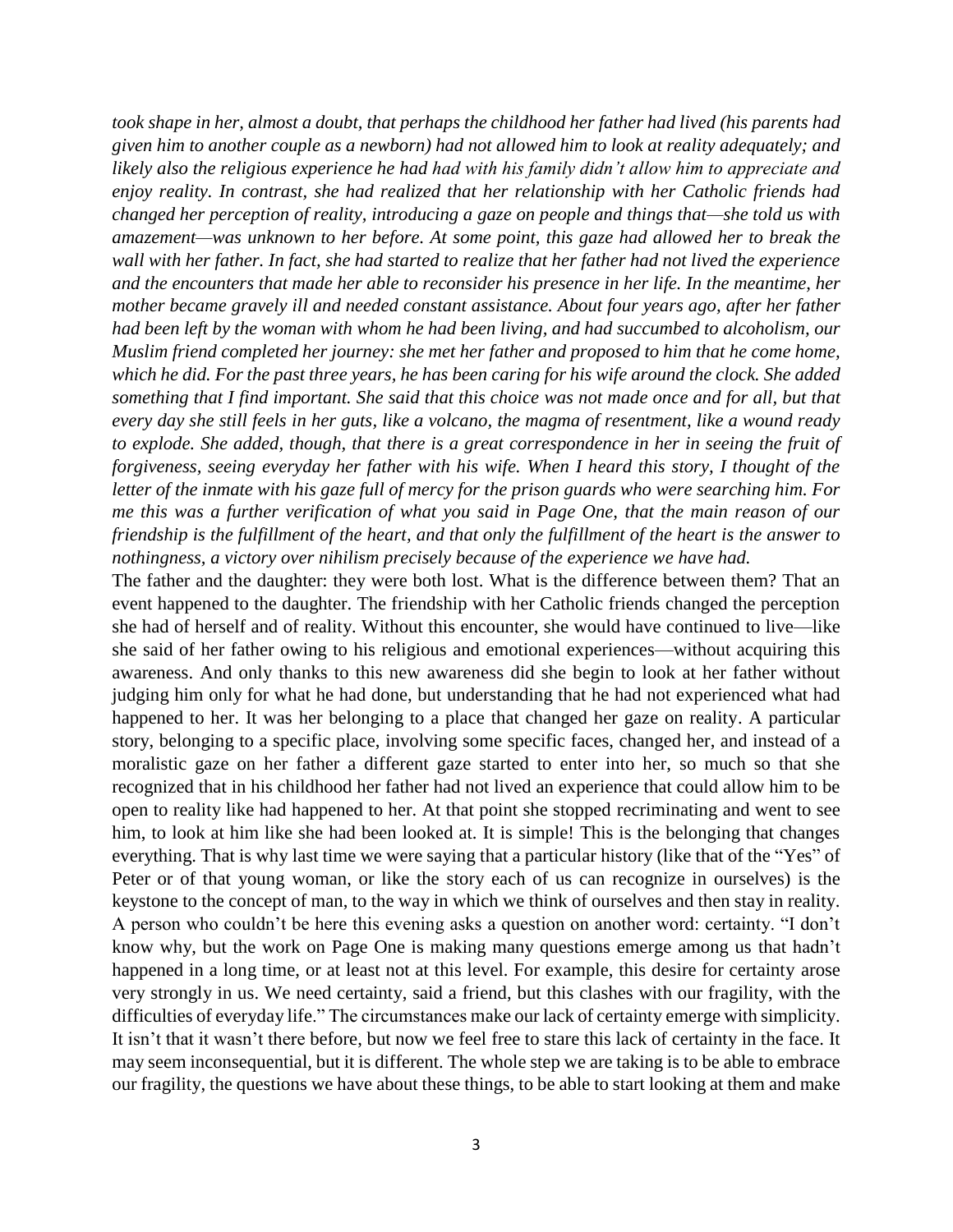*took shape in her, almost a doubt, that perhaps the childhood her father had lived (his parents had given him to another couple as a newborn) had not allowed him to look at reality adequately; and likely also the religious experience he had had with his family didn't allow him to appreciate and enjoy reality. In contrast, she had realized that her relationship with her Catholic friends had changed her perception of reality, introducing a gaze on people and things that—she told us with amazement—was unknown to her before. At some point, this gaze had allowed her to break the wall with her father. In fact, she had started to realize that her father had not lived the experience and the encounters that made her able to reconsider his presence in her life. In the meantime, her mother became gravely ill and needed constant assistance. About four years ago, after her father had been left by the woman with whom he had been living, and had succumbed to alcoholism, our Muslim friend completed her journey: she met her father and proposed to him that he come home, which he did. For the past three years, he has been caring for his wife around the clock. She added something that I find important. She said that this choice was not made once and for all, but that every day she still feels in her guts, like a volcano, the magma of resentment, like a wound ready to explode. She added, though, that there is a great correspondence in her in seeing the fruit of forgiveness, seeing everyday her father with his wife. When I heard this story, I thought of the letter of the inmate with his gaze full of mercy for the prison guards who were searching him. For me this was a further verification of what you said in Page One, that the main reason of our friendship is the fulfillment of the heart, and that only the fulfillment of the heart is the answer to nothingness, a victory over nihilism precisely because of the experience we have had.*

The father and the daughter: they were both lost. What is the difference between them? That an event happened to the daughter. The friendship with her Catholic friends changed the perception she had of herself and of reality. Without this encounter, she would have continued to live—like she said of her father owing to his religious and emotional experiences—without acquiring this awareness. And only thanks to this new awareness did she begin to look at her father without judging him only for what he had done, but understanding that he had not experienced what had happened to her. It was her belonging to a place that changed her gaze on reality. A particular story, belonging to a specific place, involving some specific faces, changed her, and instead of a moralistic gaze on her father a different gaze started to enter into her, so much so that she recognized that in his childhood her father had not lived an experience that could allow him to be open to reality like had happened to her. At that point she stopped recriminating and went to see him, to look at him like she had been looked at. It is simple! This is the belonging that changes everything. That is why last time we were saying that a particular history (like that of the "Yes" of Peter or of that young woman, or like the story each of us can recognize in ourselves) is the keystone to the concept of man, to the way in which we think of ourselves and then stay in reality. A person who couldn't be here this evening asks a question on another word: certainty. "I don't know why, but the work on Page One is making many questions emerge among us that hadn't happened in a long time, or at least not at this level. For example, this desire for certainty arose very strongly in us. We need certainty, said a friend, but this clashes with our fragility, with the difficulties of everyday life." The circumstances make our lack of certainty emerge with simplicity. It isn't that it wasn't there before, but now we feel free to stare this lack of certainty in the face. It may seem inconsequential, but it is different. The whole step we are taking is to be able to embrace our fragility, the questions we have about these things, to be able to start looking at them and make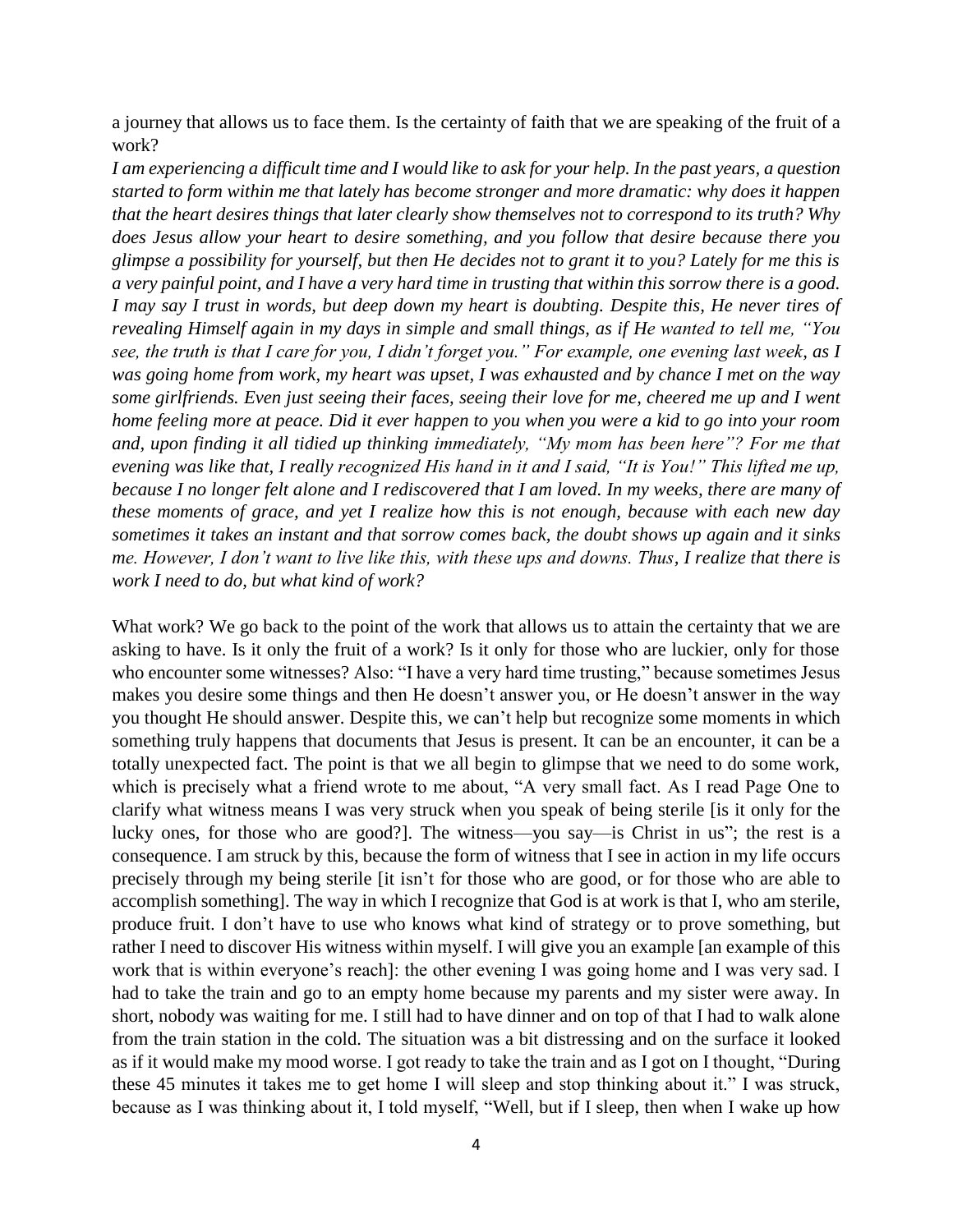a journey that allows us to face them. Is the certainty of faith that we are speaking of the fruit of a work?

*I am experiencing a difficult time and I would like to ask for your help. In the past years, a question started to form within me that lately has become stronger and more dramatic: why does it happen that the heart desires things that later clearly show themselves not to correspond to its truth? Why does Jesus allow your heart to desire something, and you follow that desire because there you glimpse a possibility for yourself, but then He decides not to grant it to you? Lately for me this is a very painful point, and I have a very hard time in trusting that within this sorrow there is a good. I may say I trust in words, but deep down my heart is doubting. Despite this, He never tires of revealing Himself again in my days in simple and small things, as if He wanted to tell me, "You see, the truth is that I care for you, I didn't forget you." For example, one evening last week, as I was going home from work, my heart was upset, I was exhausted and by chance I met on the way some girlfriends. Even just seeing their faces, seeing their love for me, cheered me up and I went home feeling more at peace. Did it ever happen to you when you were a kid to go into your room and, upon finding it all tidied up thinking immediately, "My mom has been here"? For me that evening was like that, I really recognized His hand in it and I said, "It is You!" This lifted me up, because I no longer felt alone and I rediscovered that I am loved. In my weeks, there are many of these moments of grace, and yet I realize how this is not enough, because with each new day sometimes it takes an instant and that sorrow comes back, the doubt shows up again and it sinks me. However, I don't want to live like this, with these ups and downs. Thus, I realize that there is work I need to do, but what kind of work?*

What work? We go back to the point of the work that allows us to attain the certainty that we are asking to have. Is it only the fruit of a work? Is it only for those who are luckier, only for those who encounter some witnesses? Also: "I have a very hard time trusting," because sometimes Jesus makes you desire some things and then He doesn't answer you, or He doesn't answer in the way you thought He should answer. Despite this, we can't help but recognize some moments in which something truly happens that documents that Jesus is present. It can be an encounter, it can be a totally unexpected fact. The point is that we all begin to glimpse that we need to do some work, which is precisely what a friend wrote to me about, "A very small fact. As I read Page One to clarify what witness means I was very struck when you speak of being sterile [is it only for the lucky ones, for those who are good?]. The witness—you say—is Christ in us"; the rest is a consequence. I am struck by this, because the form of witness that I see in action in my life occurs precisely through my being sterile [it isn't for those who are good, or for those who are able to accomplish something]. The way in which I recognize that God is at work is that I, who am sterile, produce fruit. I don't have to use who knows what kind of strategy or to prove something, but rather I need to discover His witness within myself. I will give you an example [an example of this work that is within everyone's reach]: the other evening I was going home and I was very sad. I had to take the train and go to an empty home because my parents and my sister were away. In short, nobody was waiting for me. I still had to have dinner and on top of that I had to walk alone from the train station in the cold. The situation was a bit distressing and on the surface it looked as if it would make my mood worse. I got ready to take the train and as I got on I thought, "During these 45 minutes it takes me to get home I will sleep and stop thinking about it." I was struck, because as I was thinking about it, I told myself, "Well, but if I sleep, then when I wake up how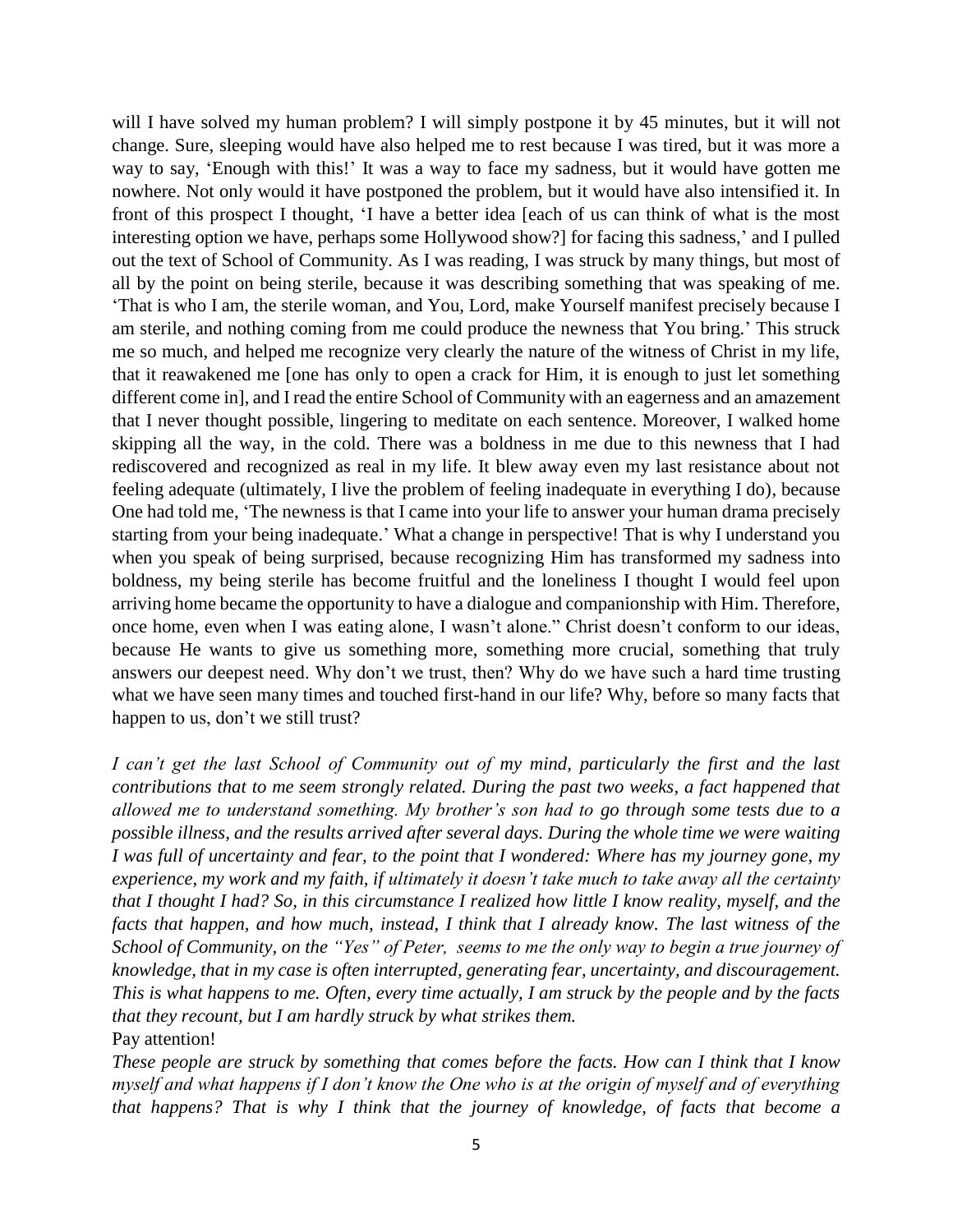will I have solved my human problem? I will simply postpone it by 45 minutes, but it will not change. Sure, sleeping would have also helped me to rest because I was tired, but it was more a way to say, 'Enough with this!' It was a way to face my sadness, but it would have gotten me nowhere. Not only would it have postponed the problem, but it would have also intensified it. In front of this prospect I thought, 'I have a better idea [each of us can think of what is the most interesting option we have, perhaps some Hollywood show?] for facing this sadness,' and I pulled out the text of School of Community. As I was reading, I was struck by many things, but most of all by the point on being sterile, because it was describing something that was speaking of me. 'That is who I am, the sterile woman, and You, Lord, make Yourself manifest precisely because I am sterile, and nothing coming from me could produce the newness that You bring.' This struck me so much, and helped me recognize very clearly the nature of the witness of Christ in my life, that it reawakened me [one has only to open a crack for Him, it is enough to just let something different come in], and I read the entire School of Community with an eagerness and an amazement that I never thought possible, lingering to meditate on each sentence. Moreover, I walked home skipping all the way, in the cold. There was a boldness in me due to this newness that I had rediscovered and recognized as real in my life. It blew away even my last resistance about not feeling adequate (ultimately, I live the problem of feeling inadequate in everything I do), because One had told me, 'The newness is that I came into your life to answer your human drama precisely starting from your being inadequate.' What a change in perspective! That is why I understand you when you speak of being surprised, because recognizing Him has transformed my sadness into boldness, my being sterile has become fruitful and the loneliness I thought I would feel upon arriving home became the opportunity to have a dialogue and companionship with Him. Therefore, once home, even when I was eating alone, I wasn't alone." Christ doesn't conform to our ideas, because He wants to give us something more, something more crucial, something that truly answers our deepest need. Why don't we trust, then? Why do we have such a hard time trusting what we have seen many times and touched first-hand in our life? Why, before so many facts that happen to us, don't we still trust?

*I can't get the last School of Community out of my mind, particularly the first and the last contributions that to me seem strongly related. During the past two weeks, a fact happened that allowed me to understand something. My brother's son had to go through some tests due to a possible illness, and the results arrived after several days. During the whole time we were waiting I was full of uncertainty and fear, to the point that I wondered: Where has my journey gone, my experience, my work and my faith, if ultimately it doesn't take much to take away all the certainty that I thought I had? So, in this circumstance I realized how little I know reality, myself, and the facts that happen, and how much, instead, I think that I already know. The last witness of the School of Community, on the "Yes" of Peter, seems to me the only way to begin a true journey of knowledge, that in my case is often interrupted, generating fear, uncertainty, and discouragement. This is what happens to me. Often, every time actually, I am struck by the people and by the facts that they recount, but I am hardly struck by what strikes them.*

Pay attention!

*These people are struck by something that comes before the facts. How can I think that I know myself and what happens if I don't know the One who is at the origin of myself and of everything that happens? That is why I think that the journey of knowledge, of facts that become a*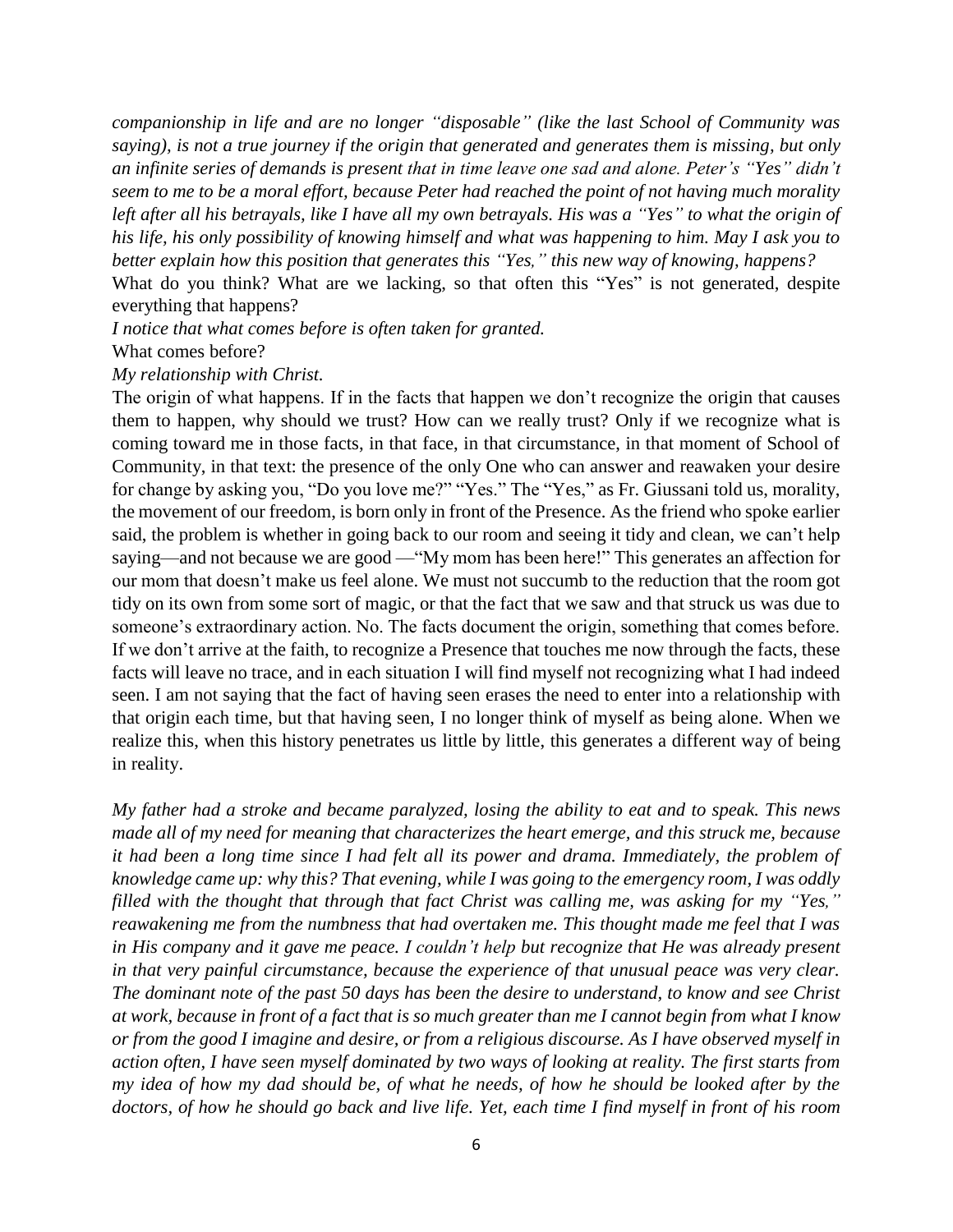*companionship in life and are no longer "disposable" (like the last School of Community was saying), is not a true journey if the origin that generated and generates them is missing, but only an infinite series of demands is present that in time leave one sad and alone. Peter's "Yes" didn't seem to me to be a moral effort, because Peter had reached the point of not having much morality left after all his betrayals, like I have all my own betrayals. His was a "Yes" to what the origin of his life, his only possibility of knowing himself and what was happening to him. May I ask you to better explain how this position that generates this "Yes," this new way of knowing, happens?* What do you think? What are we lacking, so that often this "Yes" is not generated, despite everything that happens?

*I notice that what comes before is often taken for granted.* What comes before?

#### *My relationship with Christ.*

The origin of what happens. If in the facts that happen we don't recognize the origin that causes them to happen, why should we trust? How can we really trust? Only if we recognize what is coming toward me in those facts, in that face, in that circumstance, in that moment of School of Community, in that text: the presence of the only One who can answer and reawaken your desire for change by asking you, "Do you love me?" "Yes." The "Yes," as Fr. Giussani told us, morality, the movement of our freedom, is born only in front of the Presence. As the friend who spoke earlier said, the problem is whether in going back to our room and seeing it tidy and clean, we can't help saying—and not because we are good —"My mom has been here!" This generates an affection for our mom that doesn't make us feel alone. We must not succumb to the reduction that the room got tidy on its own from some sort of magic, or that the fact that we saw and that struck us was due to someone's extraordinary action. No. The facts document the origin, something that comes before. If we don't arrive at the faith, to recognize a Presence that touches me now through the facts, these facts will leave no trace, and in each situation I will find myself not recognizing what I had indeed seen. I am not saying that the fact of having seen erases the need to enter into a relationship with that origin each time, but that having seen, I no longer think of myself as being alone. When we realize this, when this history penetrates us little by little, this generates a different way of being in reality.

*My father had a stroke and became paralyzed, losing the ability to eat and to speak. This news made all of my need for meaning that characterizes the heart emerge, and this struck me, because it had been a long time since I had felt all its power and drama. Immediately, the problem of knowledge came up: why this? That evening, while I was going to the emergency room, I was oddly filled with the thought that through that fact Christ was calling me, was asking for my "Yes," reawakening me from the numbness that had overtaken me. This thought made me feel that I was in His company and it gave me peace. I couldn't help but recognize that He was already present in that very painful circumstance, because the experience of that unusual peace was very clear. The dominant note of the past 50 days has been the desire to understand, to know and see Christ at work, because in front of a fact that is so much greater than me I cannot begin from what I know or from the good I imagine and desire, or from a religious discourse. As I have observed myself in action often, I have seen myself dominated by two ways of looking at reality. The first starts from my idea of how my dad should be, of what he needs, of how he should be looked after by the doctors, of how he should go back and live life. Yet, each time I find myself in front of his room*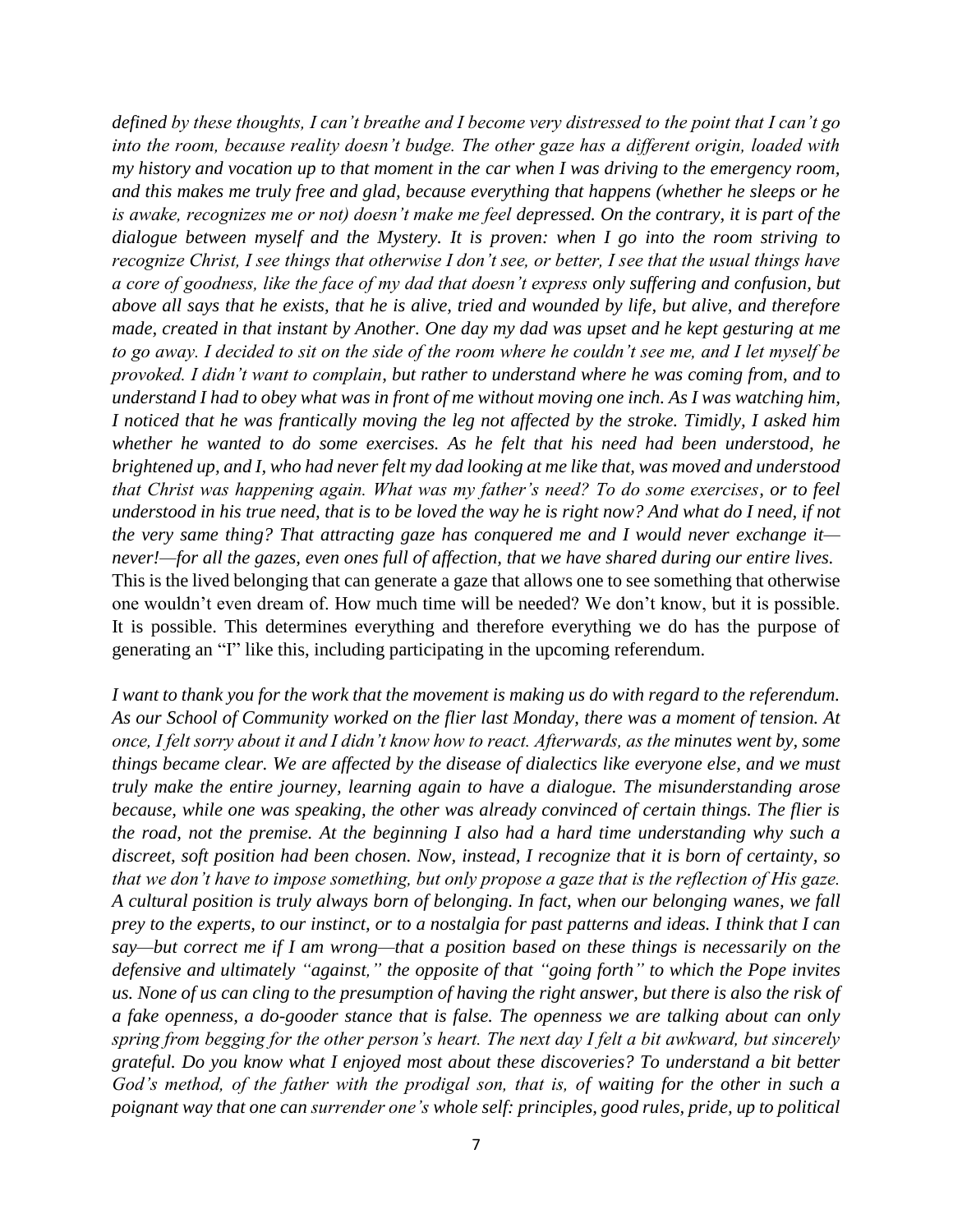*defined by these thoughts, I can't breathe and I become very distressed to the point that I can't go into the room, because reality doesn't budge. The other gaze has a different origin, loaded with my history and vocation up to that moment in the car when I was driving to the emergency room, and this makes me truly free and glad, because everything that happens (whether he sleeps or he is awake, recognizes me or not) doesn't make me feel depressed. On the contrary, it is part of the dialogue between myself and the Mystery. It is proven: when I go into the room striving to recognize Christ, I see things that otherwise I don't see, or better, I see that the usual things have a core of goodness, like the face of my dad that doesn't express only suffering and confusion, but above all says that he exists, that he is alive, tried and wounded by life, but alive, and therefore made, created in that instant by Another. One day my dad was upset and he kept gesturing at me to go away. I decided to sit on the side of the room where he couldn't see me, and I let myself be provoked. I didn't want to complain, but rather to understand where he was coming from, and to understand I had to obey what was in front of me without moving one inch. As I was watching him, I noticed that he was frantically moving the leg not affected by the stroke. Timidly, I asked him whether he wanted to do some exercises. As he felt that his need had been understood, he brightened up, and I, who had never felt my dad looking at me like that, was moved and understood that Christ was happening again. What was my father's need? To do some exercises, or to feel understood in his true need, that is to be loved the way he is right now? And what do I need, if not the very same thing? That attracting gaze has conquered me and I would never exchange it never!—for all the gazes, even ones full of affection, that we have shared during our entire lives.* This is the lived belonging that can generate a gaze that allows one to see something that otherwise one wouldn't even dream of. How much time will be needed? We don't know, but it is possible. It is possible. This determines everything and therefore everything we do has the purpose of generating an "I" like this, including participating in the upcoming referendum.

*I want to thank you for the work that the movement is making us do with regard to the referendum. As our School of Community worked on the flier last Monday, there was a moment of tension. At once, I felt sorry about it and I didn't know how to react. Afterwards, as the minutes went by, some things became clear. We are affected by the disease of dialectics like everyone else, and we must truly make the entire journey, learning again to have a dialogue. The misunderstanding arose because, while one was speaking, the other was already convinced of certain things. The flier is the road, not the premise. At the beginning I also had a hard time understanding why such a discreet, soft position had been chosen. Now, instead, I recognize that it is born of certainty, so that we don't have to impose something, but only propose a gaze that is the reflection of His gaze. A cultural position is truly always born of belonging. In fact, when our belonging wanes, we fall prey to the experts, to our instinct, or to a nostalgia for past patterns and ideas. I think that I can say—but correct me if I am wrong—that a position based on these things is necessarily on the defensive and ultimately "against," the opposite of that "going forth" to which the Pope invites us. None of us can cling to the presumption of having the right answer, but there is also the risk of a fake openness, a do-gooder stance that is false. The openness we are talking about can only spring from begging for the other person's heart. The next day I felt a bit awkward, but sincerely grateful. Do you know what I enjoyed most about these discoveries? To understand a bit better God's method, of the father with the prodigal son, that is, of waiting for the other in such a poignant way that one can surrender one's whole self: principles, good rules, pride, up to political*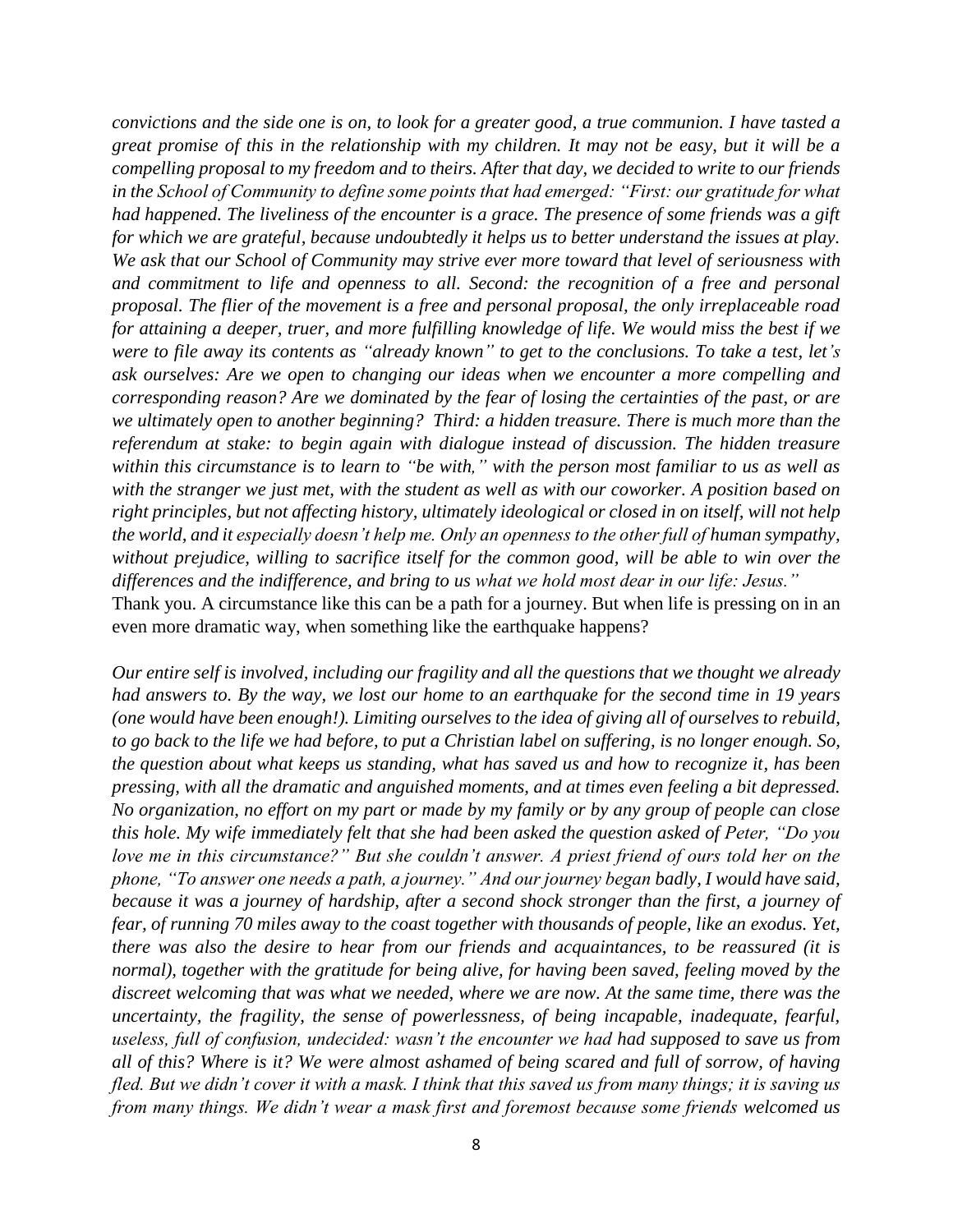*convictions and the side one is on, to look for a greater good, a true communion. I have tasted a great promise of this in the relationship with my children. It may not be easy, but it will be a compelling proposal to my freedom and to theirs. After that day, we decided to write to our friends in the School of Community to define some points that had emerged: "First: our gratitude for what had happened. The liveliness of the encounter is a grace. The presence of some friends was a gift for which we are grateful, because undoubtedly it helps us to better understand the issues at play. We ask that our School of Community may strive ever more toward that level of seriousness with and commitment to life and openness to all. Second: the recognition of a free and personal proposal. The flier of the movement is a free and personal proposal, the only irreplaceable road for attaining a deeper, truer, and more fulfilling knowledge of life. We would miss the best if we were to file away its contents as "already known" to get to the conclusions. To take a test, let's ask ourselves: Are we open to changing our ideas when we encounter a more compelling and corresponding reason? Are we dominated by the fear of losing the certainties of the past, or are we ultimately open to another beginning? Third: a hidden treasure. There is much more than the referendum at stake: to begin again with dialogue instead of discussion. The hidden treasure within this circumstance is to learn to "be with," with the person most familiar to us as well as with the stranger we just met, with the student as well as with our coworker. A position based on right principles, but not affecting history, ultimately ideological or closed in on itself, will not help the world, and it especially doesn't help me. Only an openness to the other full of human sympathy, without prejudice, willing to sacrifice itself for the common good, will be able to win over the differences and the indifference, and bring to us what we hold most dear in our life: Jesus."* Thank you. A circumstance like this can be a path for a journey. But when life is pressing on in an even more dramatic way, when something like the earthquake happens?

*Our entire self is involved, including our fragility and all the questions that we thought we already had answers to. By the way, we lost our home to an earthquake for the second time in 19 years (one would have been enough!). Limiting ourselves to the idea of giving all of ourselves to rebuild, to go back to the life we had before, to put a Christian label on suffering, is no longer enough. So, the question about what keeps us standing, what has saved us and how to recognize it, has been pressing, with all the dramatic and anguished moments, and at times even feeling a bit depressed. No organization, no effort on my part or made by my family or by any group of people can close this hole. My wife immediately felt that she had been asked the question asked of Peter, "Do you love me in this circumstance?" But she couldn't answer. A priest friend of ours told her on the phone, "To answer one needs a path, a journey." And our journey began badly, I would have said, because it was a journey of hardship, after a second shock stronger than the first, a journey of fear, of running 70 miles away to the coast together with thousands of people, like an exodus. Yet, there was also the desire to hear from our friends and acquaintances, to be reassured (it is normal), together with the gratitude for being alive, for having been saved, feeling moved by the discreet welcoming that was what we needed, where we are now. At the same time, there was the uncertainty, the fragility, the sense of powerlessness, of being incapable, inadequate, fearful, useless, full of confusion, undecided: wasn't the encounter we had had supposed to save us from all of this? Where is it? We were almost ashamed of being scared and full of sorrow, of having fled. But we didn't cover it with a mask. I think that this saved us from many things; it is saving us from many things. We didn't wear a mask first and foremost because some friends welcomed us*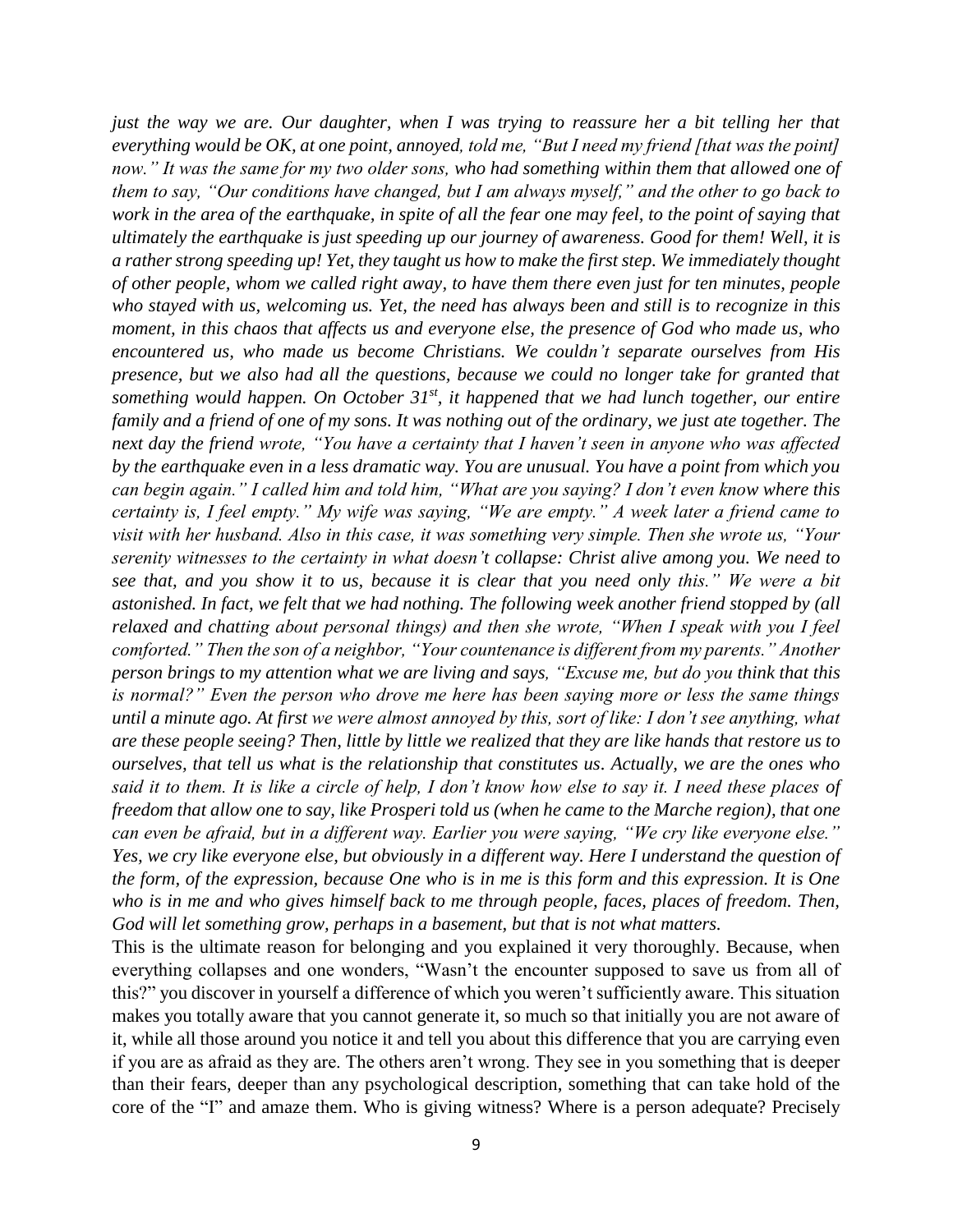*just the way we are. Our daughter, when I was trying to reassure her a bit telling her that everything would be OK, at one point, annoyed, told me, "But I need my friend [that was the point] now." It was the same for my two older sons, who had something within them that allowed one of them to say, "Our conditions have changed, but I am always myself," and the other to go back to work in the area of the earthquake, in spite of all the fear one may feel, to the point of saying that ultimately the earthquake is just speeding up our journey of awareness. Good for them! Well, it is a rather strong speeding up! Yet, they taught us how to make the first step. We immediately thought of other people, whom we called right away, to have them there even just for ten minutes, people who stayed with us, welcoming us. Yet, the need has always been and still is to recognize in this moment, in this chaos that affects us and everyone else, the presence of God who made us, who encountered us, who made us become Christians. We couldn't separate ourselves from His presence, but we also had all the questions, because we could no longer take for granted that*  something would happen. On October 31<sup>st</sup>, it happened that we had lunch together, our entire *family and a friend of one of my sons. It was nothing out of the ordinary, we just ate together. The next day the friend wrote, "You have a certainty that I haven't seen in anyone who was affected by the earthquake even in a less dramatic way. You are unusual. You have a point from which you can begin again." I called him and told him, "What are you saying? I don't even know where this certainty is, I feel empty." My wife was saying, "We are empty." A week later a friend came to visit with her husband. Also in this case, it was something very simple. Then she wrote us, "Your serenity witnesses to the certainty in what doesn't collapse: Christ alive among you. We need to see that, and you show it to us, because it is clear that you need only this." We were a bit astonished. In fact, we felt that we had nothing. The following week another friend stopped by (all relaxed and chatting about personal things) and then she wrote, "When I speak with you I feel comforted." Then the son of a neighbor, "Your countenance is different from my parents." Another person brings to my attention what we are living and says, "Excuse me, but do you think that this is normal?" Even the person who drove me here has been saying more or less the same things until a minute ago. At first we were almost annoyed by this, sort of like: I don't see anything, what are these people seeing? Then, little by little we realized that they are like hands that restore us to ourselves, that tell us what is the relationship that constitutes us. Actually, we are the ones who said it to them. It is like a circle of help, I don't know how else to say it. I need these places of freedom that allow one to say, like Prosperi told us (when he came to the Marche region), that one can even be afraid, but in a different way. Earlier you were saying, "We cry like everyone else." Yes, we cry like everyone else, but obviously in a different way. Here I understand the question of the form, of the expression, because One who is in me is this form and this expression. It is One who is in me and who gives himself back to me through people, faces, places of freedom. Then, God will let something grow, perhaps in a basement, but that is not what matters.*

This is the ultimate reason for belonging and you explained it very thoroughly. Because, when everything collapses and one wonders, "Wasn't the encounter supposed to save us from all of this?" you discover in yourself a difference of which you weren't sufficiently aware. This situation makes you totally aware that you cannot generate it, so much so that initially you are not aware of it, while all those around you notice it and tell you about this difference that you are carrying even if you are as afraid as they are. The others aren't wrong. They see in you something that is deeper than their fears, deeper than any psychological description, something that can take hold of the core of the "I" and amaze them. Who is giving witness? Where is a person adequate? Precisely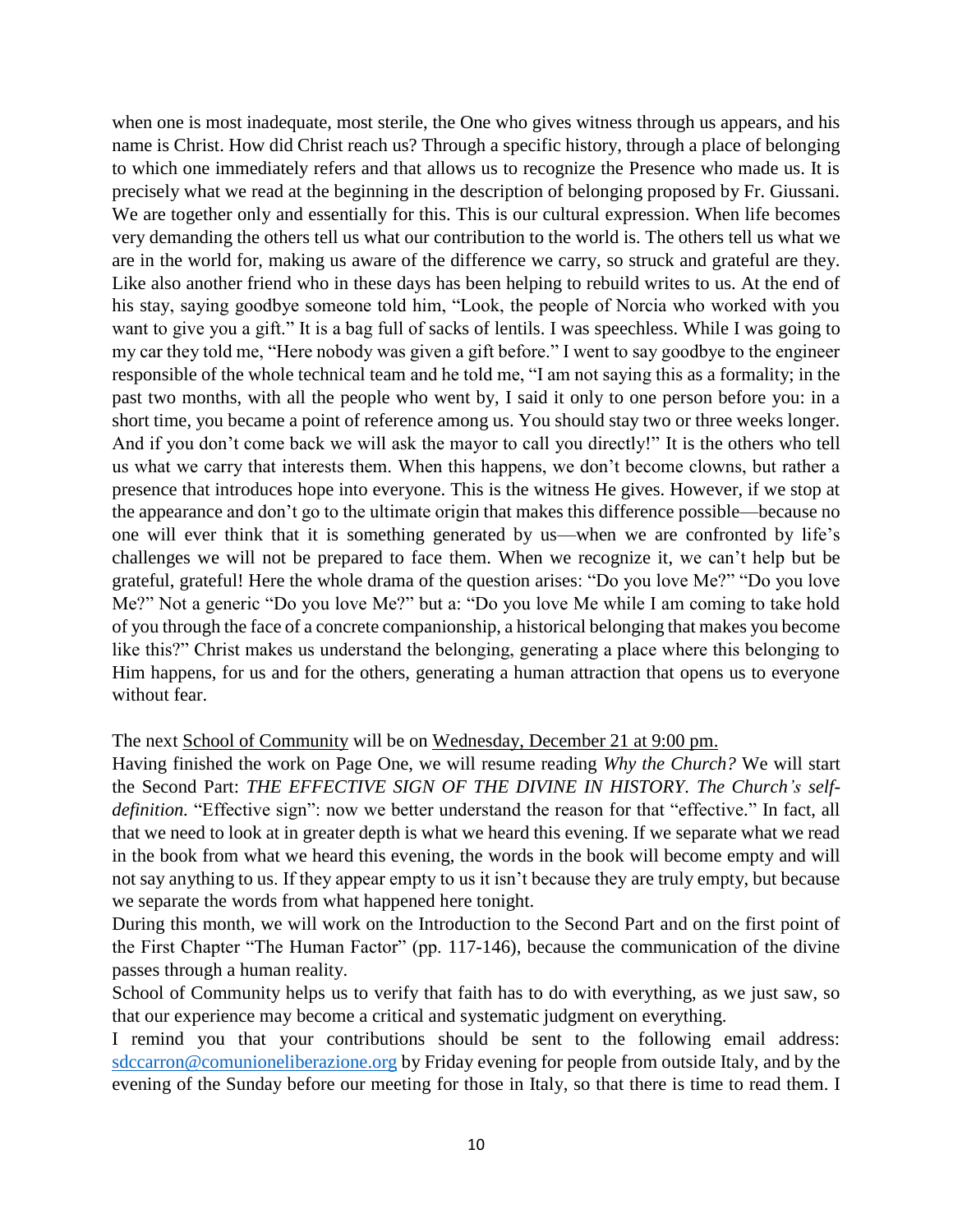when one is most inadequate, most sterile, the One who gives witness through us appears, and his name is Christ. How did Christ reach us? Through a specific history, through a place of belonging to which one immediately refers and that allows us to recognize the Presence who made us. It is precisely what we read at the beginning in the description of belonging proposed by Fr. Giussani. We are together only and essentially for this. This is our cultural expression. When life becomes very demanding the others tell us what our contribution to the world is. The others tell us what we are in the world for, making us aware of the difference we carry, so struck and grateful are they. Like also another friend who in these days has been helping to rebuild writes to us. At the end of his stay, saying goodbye someone told him, "Look, the people of Norcia who worked with you want to give you a gift." It is a bag full of sacks of lentils. I was speechless. While I was going to my car they told me, "Here nobody was given a gift before." I went to say goodbye to the engineer responsible of the whole technical team and he told me, "I am not saying this as a formality; in the past two months, with all the people who went by, I said it only to one person before you: in a short time, you became a point of reference among us. You should stay two or three weeks longer. And if you don't come back we will ask the mayor to call you directly!" It is the others who tell us what we carry that interests them. When this happens, we don't become clowns, but rather a presence that introduces hope into everyone. This is the witness He gives. However, if we stop at the appearance and don't go to the ultimate origin that makes this difference possible—because no one will ever think that it is something generated by us—when we are confronted by life's challenges we will not be prepared to face them. When we recognize it, we can't help but be grateful, grateful! Here the whole drama of the question arises: "Do you love Me?" "Do you love Me?" Not a generic "Do you love Me?" but a: "Do you love Me while I am coming to take hold of you through the face of a concrete companionship, a historical belonging that makes you become like this?" Christ makes us understand the belonging, generating a place where this belonging to Him happens, for us and for the others, generating a human attraction that opens us to everyone without fear.

## The next School of Community will be on Wednesday, December 21 at 9:00 pm.

Having finished the work on Page One, we will resume reading *Why the Church?* We will start the Second Part: *THE EFFECTIVE SIGN OF THE DIVINE IN HISTORY. The Church's selfdefinition.* "Effective sign": now we better understand the reason for that "effective." In fact, all that we need to look at in greater depth is what we heard this evening. If we separate what we read in the book from what we heard this evening, the words in the book will become empty and will not say anything to us. If they appear empty to us it isn't because they are truly empty, but because we separate the words from what happened here tonight.

During this month, we will work on the Introduction to the Second Part and on the first point of the First Chapter "The Human Factor" (pp. 117-146), because the communication of the divine passes through a human reality.

School of Community helps us to verify that faith has to do with everything, as we just saw, so that our experience may become a critical and systematic judgment on everything.

I remind you that your contributions should be sent to the following email address: [sdccarron@comunioneliberazione.org](mailto:sdccarron@comunioneliberazione.org) by Friday evening for people from outside Italy, and by the evening of the Sunday before our meeting for those in Italy, so that there is time to read them. I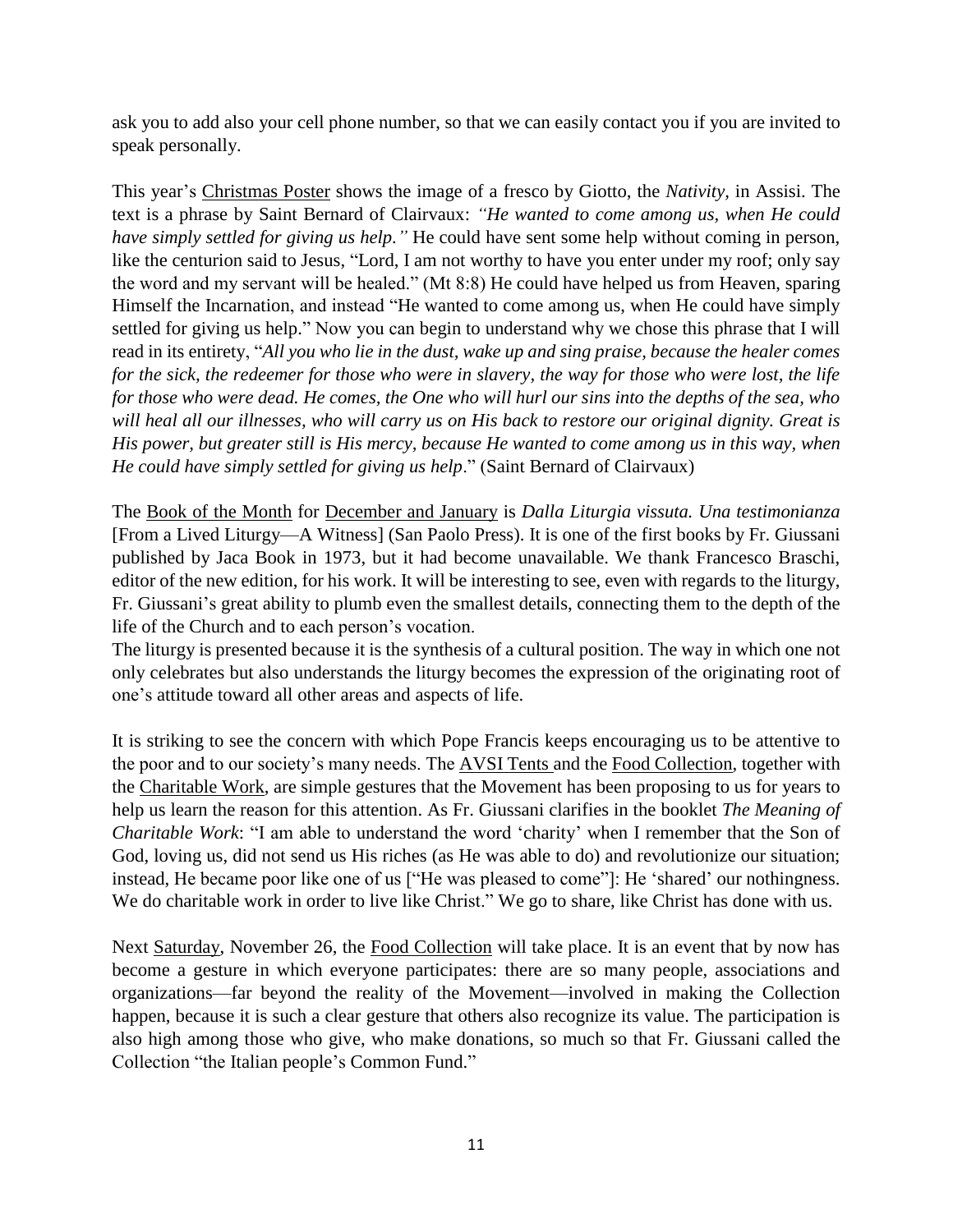ask you to add also your cell phone number, so that we can easily contact you if you are invited to speak personally.

This year's Christmas Poster shows the image of a fresco by Giotto, the *Nativity,* in Assisi. The text is a phrase by Saint Bernard of Clairvaux: *"He wanted to come among us, when He could have simply settled for giving us help."* He could have sent some help without coming in person, like the centurion said to Jesus, "Lord, I am not worthy to have you enter under my roof; only say the word and my servant will be healed." (Mt 8:8) He could have helped us from Heaven, sparing Himself the Incarnation, and instead "He wanted to come among us, when He could have simply settled for giving us help." Now you can begin to understand why we chose this phrase that I will read in its entirety, "*All you who lie in the dust, wake up and sing praise, because the healer comes for the sick, the redeemer for those who were in slavery, the way for those who were lost, the life for those who were dead. He comes, the One who will hurl our sins into the depths of the sea, who will heal all our illnesses, who will carry us on His back to restore our original dignity. Great is His power, but greater still is His mercy, because He wanted to come among us in this way, when He could have simply settled for giving us help.*" (Saint Bernard of Clairvaux)

The Book of the Month for December and January is *Dalla Liturgia vissuta. Una testimonianza* [From a Lived Liturgy—A Witness] (San Paolo Press). It is one of the first books by Fr. Giussani published by Jaca Book in 1973, but it had become unavailable. We thank Francesco Braschi, editor of the new edition, for his work. It will be interesting to see, even with regards to the liturgy, Fr. Giussani's great ability to plumb even the smallest details, connecting them to the depth of the life of the Church and to each person's vocation.

The liturgy is presented because it is the synthesis of a cultural position. The way in which one not only celebrates but also understands the liturgy becomes the expression of the originating root of one's attitude toward all other areas and aspects of life.

It is striking to see the concern with which Pope Francis keeps encouraging us to be attentive to the poor and to our society's many needs. The AVSI Tents and the Food Collection, together with the Charitable Work, are simple gestures that the Movement has been proposing to us for years to help us learn the reason for this attention. As Fr. Giussani clarifies in the booklet *The Meaning of Charitable Work*: "I am able to understand the word 'charity' when I remember that the Son of God, loving us, did not send us His riches (as He was able to do) and revolutionize our situation; instead, He became poor like one of us ["He was pleased to come"]: He 'shared' our nothingness. We do charitable work in order to live like Christ." We go to share, like Christ has done with us.

Next Saturday, November 26, the Food Collection will take place. It is an event that by now has become a gesture in which everyone participates: there are so many people, associations and organizations—far beyond the reality of the Movement—involved in making the Collection happen, because it is such a clear gesture that others also recognize its value. The participation is also high among those who give, who make donations, so much so that Fr. Giussani called the Collection "the Italian people's Common Fund."